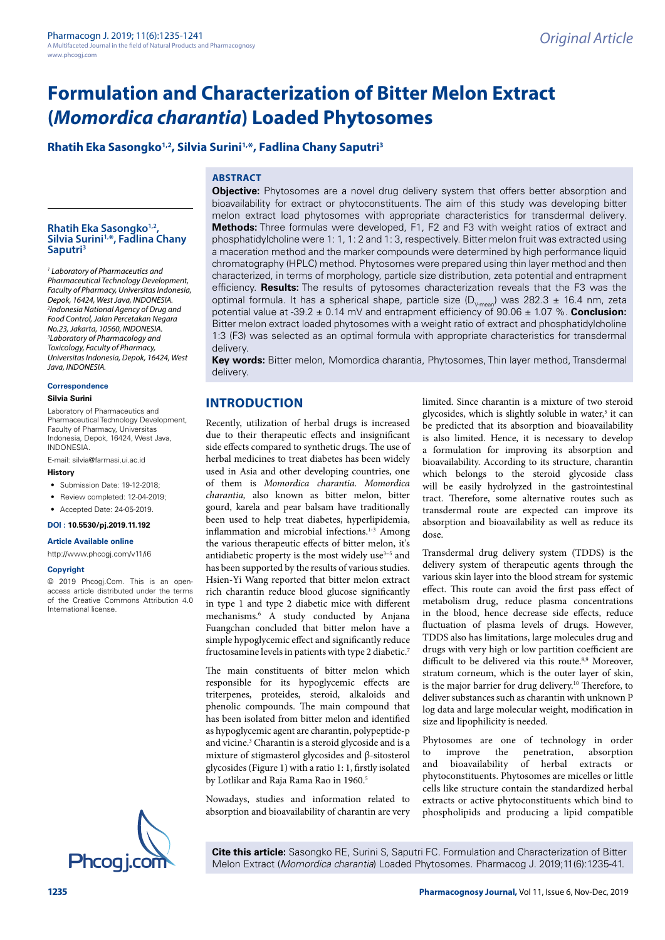**Rhatih Eka Sasongko1,2, Silvia Surini1,\*, Fadlina Chany Saputri3**

# **ABSTRACT**

# **Rhatih Eka Sasongko1,2, Silvia Surini1,\*, Fadlina Chany Saputri3**

*1 Laboratory of Pharmaceutics and Pharmaceutical Technology Development, Faculty of Pharmacy, Universitas Indonesia, Depok, 16424, West Java, INDONESIA. 2 Indonesia National Agency of Drug and Food Control, Jalan Percetakan Negara No.23, Jakarta, 10560, INDONESIA. 3 Laboratory of Pharmacology and Toxicology, Faculty of Pharmacy, Universitas Indonesia, Depok, 16424, West Java, INDONESIA.*

#### **Correspondence**

#### **Silvia Surini**

Laboratory of Pharmaceutics and Pharmaceutical Technology Development, Faculty of Pharmacy, Universitas Indonesia, Depok, 16424, West Java, INDONESIA.

E-mail: [silvia@farmasi.ui.ac.id](mailto:silvia@farmasi.ui.ac.id)

#### **History**

- Submission Date: 19-12-2018;
- Review completed: 12-04-2019:
- Accepted Date: 24-05-2019.
- **DOI : 10.5530/pj.2019.11.192**

#### **Article Available online**

<http://www.phcogj.com/v11/i6>

#### **Copyright**

© 2019 Phcogj.Com. This is an openaccess article distributed under the terms of the Creative Commons Attribution 4.0 International license.



**Objective:** Phytosomes are a novel drug delivery system that offers better absorption and bioavailability for extract or phytoconstituents. The aim of this study was developing bitter melon extract load phytosomes with appropriate characteristics for transdermal delivery. **Methods:** Three formulas were developed, F1, F2 and F3 with weight ratios of extract and phosphatidylcholine were 1: 1, 1: 2 and 1: 3, respectively. Bitter melon fruit was extracted using a maceration method and the marker compounds were determined by high performance liquid chromatography (HPLC) method. Phytosomes were prepared using thin layer method and then characterized, in terms of morphology, particle size distribution, zeta potential and entrapment efficiency. **Results:** The results of pytosomes characterization reveals that the F3 was the optimal formula. It has a spherical shape, particle size ( $D_{V_{\text{mean}}}$ ) was 282.3 ± 16.4 nm, zeta potential value at -39.2 ± 0.14 mV and entrapment efficiency of 90.06 ± 1.07 %. **Conclusion:** Bitter melon extract loaded phytosomes with a weight ratio of extract and phosphatidylcholine 1:3 (F3) was selected as an optimal formula with appropriate characteristics for transdermal delivery.

**Key words:** Bitter melon, Momordica charantia, Phytosomes, Thin layer method, Transdermal delivery.

# **INTRODUCTION**

Recently, utilization of herbal drugs is increased due to their therapeutic effects and insignificant side effects compared to synthetic drugs. The use of herbal medicines to treat diabetes has been widely used in Asia and other developing countries, one of them is *Momordica charantia*. *Momordica charantia,* also known as bitter melon, bitter gourd, karela and pear balsam have traditionally been used to help treat diabetes, hyperlipidemia, inflammation and microbial infections.<sup>1-3</sup> Among the various therapeutic effects of bitter melon, it's antidiabetic property is the most widely use<sup>3-5</sup> and has been supported by the results of various studies. Hsien-Yi Wang reported that bitter melon extract rich charantin reduce blood glucose significantly in type 1 and type 2 diabetic mice with different mechanisms.6 A study conducted by Anjana Fuangchan concluded that bitter melon have a simple hypoglycemic effect and significantly reduce fructosamine levels in patients with type 2 diabetic.<sup>7</sup>

The main constituents of bitter melon which responsible for its hypoglycemic effects are triterpenes, proteides, steroid, alkaloids and phenolic compounds. The main compound that has been isolated from bitter melon and identified as hypoglycemic agent are charantin, polypeptide-p and vicine.3 Charantin is a steroid glycoside and is a mixture of stigmasterol glycosides and β-sitosterol glycosides (Figure 1) with a ratio 1: 1, firstly isolated by Lotlikar and Raja Rama Rao in 1960.<sup>5</sup>

Nowadays, studies and information related to absorption and bioavailability of charantin are very limited. Since charantin is a mixture of two steroid glycosides, which is slightly soluble in water,<sup>5</sup> it can be predicted that its absorption and bioavailability is also limited. Hence, it is necessary to develop a formulation for improving its absorption and bioavailability. According to its structure, charantin which belongs to the steroid glycoside class will be easily hydrolyzed in the gastrointestinal tract. Therefore, some alternative routes such as transdermal route are expected can improve its absorption and bioavailability as well as reduce its dose.

Transdermal drug delivery system (TDDS) is the delivery system of therapeutic agents through the various skin layer into the blood stream for systemic effect. This route can avoid the first pass effect of metabolism drug, reduce plasma concentrations in the blood, hence decrease side effects, reduce fluctuation of plasma levels of drugs. However, TDDS also has limitations, large molecules drug and drugs with very high or low partition coefficient are difficult to be delivered via this route.<sup>8,9</sup> Moreover, stratum corneum, which is the outer layer of skin, is the major barrier for drug delivery.<sup>10</sup> Therefore, to deliver substances such as charantin with unknown P log data and large molecular weight, modification in size and lipophilicity is needed.

Phytosomes are one of technology in order to improve the penetration, absorption and bioavailability of herbal extracts or phytoconstituents. Phytosomes are micelles or little cells like structure contain the standardized herbal extracts or active phytoconstituents which bind to phospholipids and producing a lipid compatible

**Cite this article:** Sasongko RE, Surini S, Saputri FC. Formulation and Characterization of Bitter Melon Extract (*Momordica charantia*) Loaded Phytosomes. Pharmacog J. 2019;11(6):1235-41.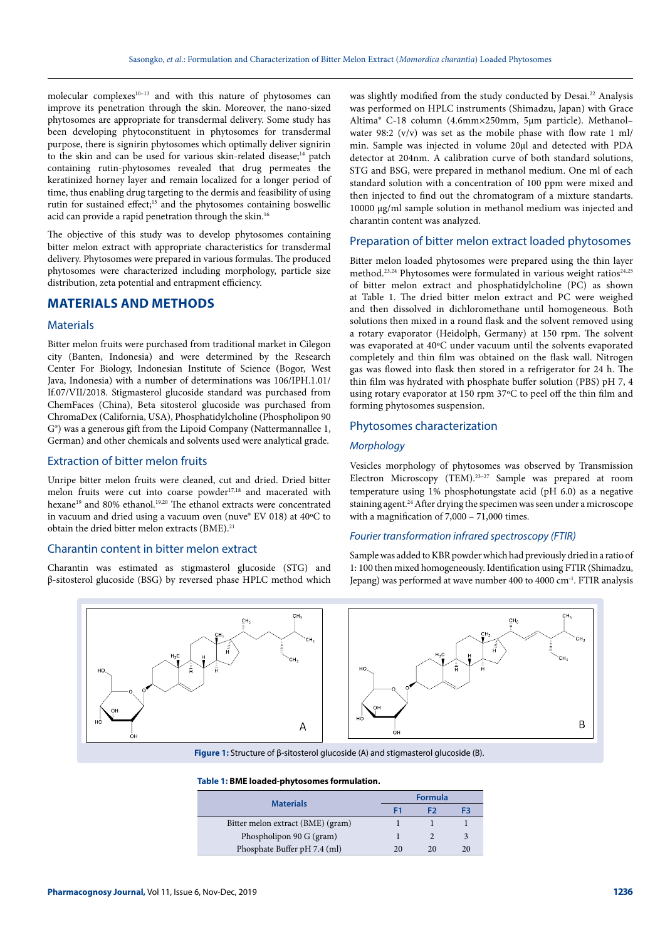molecular complexes10–13 and with this nature of phytosomes can improve its penetration through the skin. Moreover, the nano-sized phytosomes are appropriate for transdermal delivery. Some study has been developing phytoconstituent in phytosomes for transdermal purpose, there is signirin phytosomes which optimally deliver signirin to the skin and can be used for various skin-related disease;<sup>14</sup> patch containing rutin-phytosomes revealed that drug permeates the keratinized horney layer and remain localized for a longer period of time, thus enabling drug targeting to the dermis and feasibility of using rutin for sustained effect;<sup>15</sup> and the phytosomes containing boswellic acid can provide a rapid penetration through the skin.<sup>16</sup>

The objective of this study was to develop phytosomes containing bitter melon extract with appropriate characteristics for transdermal delivery. Phytosomes were prepared in various formulas. The produced phytosomes were characterized including morphology, particle size distribution, zeta potential and entrapment efficiency.

# **MATERIALS AND METHODS**

#### **Materials**

Bitter melon fruits were purchased from traditional market in Cilegon city (Banten, Indonesia) and were determined by the Research Center For Biology, Indonesian Institute of Science (Bogor, West Java, Indonesia) with a number of determinations was 106/IPH.1.01/ If.07/VII/2018. Stigmasterol glucoside standard was purchased from ChemFaces (China), Beta sitosterol glucoside was purchased from ChromaDex (California, USA), Phosphatidylcholine (Phospholipon 90 G®) was a generous gift from the Lipoid Company (Nattermannallee 1, German) and other chemicals and solvents used were analytical grade.

## Extraction of bitter melon fruits

Unripe bitter melon fruits were cleaned, cut and dried. Dried bitter melon fruits were cut into coarse powder<sup>17,18</sup> and macerated with hexane<sup>19</sup> and 80% ethanol.<sup>19,20</sup> The ethanol extracts were concentrated in vacuum and dried using a vacuum oven (nuve® EV 018) at 40ºC to obtain the dried bitter melon extracts (BME).21

#### Charantin content in bitter melon extract

Charantin was estimated as stigmasterol glucoside (STG) and β-sitosterol glucoside (BSG) by reversed phase HPLC method which

was slightly modified from the study conducted by Desai.<sup>22</sup> Analysis was performed on HPLC instruments (Shimadzu, Japan) with Grace Altima® C-18 column (4.6mm×250mm, 5µm particle). Methanol– water 98:2 (v/v) was set as the mobile phase with flow rate 1 ml/ min. Sample was injected in volume 20µl and detected with PDA detector at 204nm. A calibration curve of both standard solutions, STG and BSG, were prepared in methanol medium. One ml of each standard solution with a concentration of 100 ppm were mixed and then injected to find out the chromatogram of a mixture standarts. 10000 µg/ml sample solution in methanol medium was injected and charantin content was analyzed.

#### Preparation of bitter melon extract loaded phytosomes

Bitter melon loaded phytosomes were prepared using the thin layer method.<sup>23,24</sup> Phytosomes were formulated in various weight ratios<sup>24,25</sup> of bitter melon extract and phosphatidylcholine (PC) as shown at Table 1. The dried bitter melon extract and PC were weighed and then dissolved in dichloromethane until homogeneous. Both solutions then mixed in a round flask and the solvent removed using a rotary evaporator (Heidolph, Germany) at 150 rpm. The solvent was evaporated at 40ºC under vacuum until the solvents evaporated completely and thin film was obtained on the flask wall. Nitrogen gas was flowed into flask then stored in a refrigerator for 24 h. The thin film was hydrated with phosphate buffer solution (PBS) pH 7, 4 using rotary evaporator at 150 rpm 37ºC to peel off the thin film and forming phytosomes suspension.

#### Phytosomes characterization

## *Morphology*

Vesicles morphology of phytosomes was observed by Transmission Electron Microscopy (TEM).23–27 Sample was prepared at room temperature using 1% phosphotungstate acid (pH 6.0) as a negative staining agent.<sup>24</sup> After drying the specimen was seen under a microscope with a magnification of 7,000 – 71,000 times.

#### *Fourier transformation infrared spectroscopy (FTIR)*

Sample was added to KBR powder which had previously dried in a ratio of 1: 100 then mixed homogeneously. Identification using FTIR (Shimadzu, Jepang) was performed at wave number 400 to 4000 cm-1. FTIR analysis



**Figure 1:** Structure of β-sitosterol glucoside (A) and stigmasterol glucoside (B).

#### **Table 1: BME loaded-phytosomes formulation.**

| <b>Materials</b>                  | <b>Formula</b> |    |    |
|-----------------------------------|----------------|----|----|
|                                   |                |    | F3 |
| Bitter melon extract (BME) (gram) |                |    |    |
| Phospholipon 90 G (gram)          |                |    | 3  |
| Phosphate Buffer pH 7.4 (ml)      | 20             | 20 | 20 |
|                                   |                |    |    |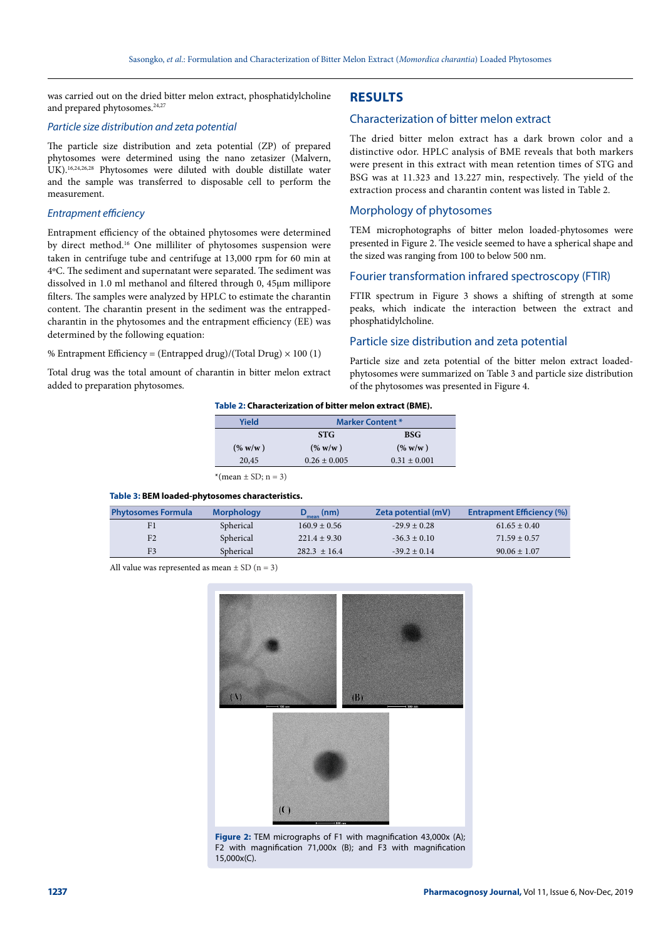was carried out on the dried bitter melon extract, phosphatidylcholine and prepared phytosomes.<sup>24,27</sup>

#### *Particle size distribution and zeta potential*

The particle size distribution and zeta potential (ZP) of prepared phytosomes were determined using the nano zetasizer (Malvern, UK).16,24,26,28 Phytosomes were diluted with double distillate water and the sample was transferred to disposable cell to perform the measurement.

## *Entrapment efficiency*

Entrapment efficiency of the obtained phytosomes were determined by direct method.16 One milliliter of phytosomes suspension were taken in centrifuge tube and centrifuge at 13,000 rpm for 60 min at 4ºC. The sediment and supernatant were separated. The sediment was dissolved in 1.0 ml methanol and filtered through 0, 45µm millipore filters. The samples were analyzed by HPLC to estimate the charantin content. The charantin present in the sediment was the entrappedcharantin in the phytosomes and the entrapment efficiency (EE) was determined by the following equation:

#### % Entrapment Efficiency = (Entrapped drug)/(Total Drug)  $\times$  100 (1)

Total drug was the total amount of charantin in bitter melon extract added to preparation phytosomes.

# **RESULTS**

# Characterization of bitter melon extract

The dried bitter melon extract has a dark brown color and a distinctive odor. HPLC analysis of BME reveals that both markers were present in this extract with mean retention times of STG and BSG was at 11.323 and 13.227 min, respectively. The yield of the extraction process and charantin content was listed in Table 2.

## Morphology of phytosomes

TEM microphotographs of bitter melon loaded-phytosomes were presented in Figure 2. The vesicle seemed to have a spherical shape and the sized was ranging from 100 to below 500 nm.

## Fourier transformation infrared spectroscopy (FTIR)

FTIR spectrum in Figure 3 shows a shifting of strength at some peaks, which indicate the interaction between the extract and phosphatidylcholine.

# Particle size distribution and zeta potential

Particle size and zeta potential of the bitter melon extract loadedphytosomes were summarized on Table 3 and particle size distribution of the phytosomes was presented in Figure 4.

#### **Table 2: Characterization of bitter melon extract (BME).**

| Yield                   | <b>Marker Content *</b> |                  |  |  |
|-------------------------|-------------------------|------------------|--|--|
|                         | <b>STG</b>              | <b>BSG</b>       |  |  |
| (% w/w)                 | $(\% w/w)$              | $($ % w/w)       |  |  |
| 20,45                   | $0.26 \pm 0.005$        | $0.31 \pm 0.001$ |  |  |
| $*(mean \pm SD; n = 3)$ |                         |                  |  |  |

#### **Table 3: BEM loaded-phytosomes characteristics.**

| <b>Phytosomes Formula</b> | <b>Morphology</b> | $D_{\text{mean}}$ (nm) | Zeta potential (mV) | <b>Entrapment Efficiency (%)</b> |
|---------------------------|-------------------|------------------------|---------------------|----------------------------------|
|                           | Spherical         | $160.9 \pm 0.56$       | $-29.9 + 0.28$      | $61.65 \pm 0.40$                 |
| F <sub>2</sub>            | Spherical         | $221.4 + 9.30$         | $-36.3 \pm 0.10$    | $71.59 \pm 0.57$                 |
| F <sub>3</sub>            | Spherical         | $282.3 + 16.4$         | $-39.2 \pm 0.14$    | $90.06 \pm 1.07$                 |

All value was represented as mean  $\pm$  SD (n = 3)



**Figure 2:** TEM micrographs of F1 with magnification 43,000x (A); F2 with magnification 71,000x (B); and F3 with magnification 15,000x(C).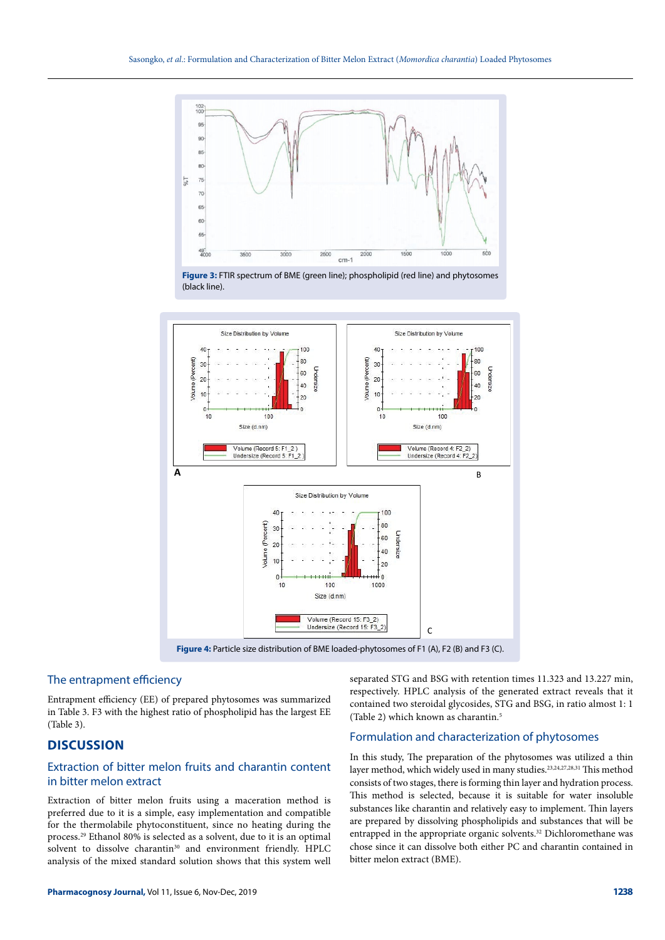

(black line).



**Figure 4:** Particle size distribution of BME loaded-phytosomes of F1 (A), F2 (B) and F3 (C).

## The entrapment efficiency

Entrapment efficiency (EE) of prepared phytosomes was summarized in Table 3. F3 with the highest ratio of phospholipid has the largest EE (Table 3).

# **DISCUSSION**

# Extraction of bitter melon fruits and charantin content in bitter melon extract

Extraction of bitter melon fruits using a maceration method is preferred due to it is a simple, easy implementation and compatible for the thermolabile phytoconstituent, since no heating during the process.29 Ethanol 80% is selected as a solvent, due to it is an optimal solvent to dissolve charantin<sup>30</sup> and environment friendly. HPLC analysis of the mixed standard solution shows that this system well

separated STG and BSG with retention times 11.323 and 13.227 min, respectively. HPLC analysis of the generated extract reveals that it contained two steroidal glycosides, STG and BSG, in ratio almost 1: 1 (Table 2) which known as charantin.5

# Formulation and characterization of phytosomes

In this study, The preparation of the phytosomes was utilized a thin layer method, which widely used in many studies.23,24,27,28,31 This method consists of two stages, there is forming thin layer and hydration process. This method is selected, because it is suitable for water insoluble substances like charantin and relatively easy to implement. Thin layers are prepared by dissolving phospholipids and substances that will be entrapped in the appropriate organic solvents.<sup>32</sup> Dichloromethane was chose since it can dissolve both either PC and charantin contained in bitter melon extract (BME).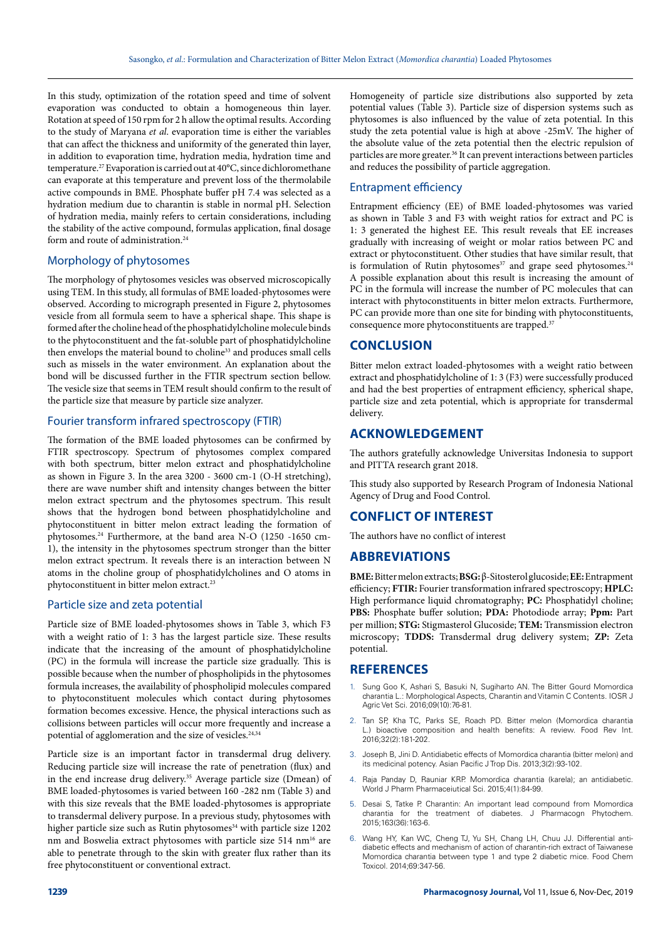In this study, optimization of the rotation speed and time of solvent evaporation was conducted to obtain a homogeneous thin layer. Rotation at speed of 150 rpm for 2 h allow the optimal results. According to the study of Maryana *et al*. evaporation time is either the variables that can affect the thickness and uniformity of the generated thin layer, in addition to evaporation time, hydration media, hydration time and temperature.27 Evaporation is carried out at 40°C, since dichloromethane can evaporate at this temperature and prevent loss of the thermolabile active compounds in BME. Phosphate buffer pH 7.4 was selected as a hydration medium due to charantin is stable in normal pH. Selection of hydration media, mainly refers to certain considerations, including the stability of the active compound, formulas application, final dosage form and route of administration.<sup>24</sup>

## Morphology of phytosomes

The morphology of phytosomes vesicles was observed microscopically using TEM. In this study, all formulas of BME loaded-phytosomes were observed. According to micrograph presented in Figure 2, phytosomes vesicle from all formula seem to have a spherical shape. This shape is formed after the choline head of the phosphatidylcholine molecule binds to the phytoconstituent and the fat-soluble part of phosphatidylcholine then envelops the material bound to choline<sup>33</sup> and produces small cells such as missels in the water environment. An explanation about the bond will be discussed further in the FTIR spectrum section bellow. The vesicle size that seems in TEM result should confirm to the result of the particle size that measure by particle size analyzer.

## Fourier transform infrared spectroscopy (FTIR)

The formation of the BME loaded phytosomes can be confirmed by FTIR spectroscopy. Spectrum of phytosomes complex compared with both spectrum, bitter melon extract and phosphatidylcholine as shown in Figure 3. In the area 3200 - 3600 cm-1 (O-H stretching), there are wave number shift and intensity changes between the bitter melon extract spectrum and the phytosomes spectrum. This result shows that the hydrogen bond between phosphatidylcholine and phytoconstituent in bitter melon extract leading the formation of phytosomes.24 Furthermore, at the band area N-O (1250 -1650 cm-1), the intensity in the phytosomes spectrum stronger than the bitter melon extract spectrum. It reveals there is an interaction between N atoms in the choline group of phosphatidylcholines and O atoms in phytoconstituent in bitter melon extract.23

## Particle size and zeta potential

Particle size of BME loaded-phytosomes shows in Table 3, which F3 with a weight ratio of 1: 3 has the largest particle size. These results indicate that the increasing of the amount of phosphatidylcholine (PC) in the formula will increase the particle size gradually. This is possible because when the number of phospholipids in the phytosomes formula increases, the availability of phospholipid molecules compared to phytoconstituent molecules which contact during phytosomes formation becomes excessive. Hence, the physical interactions such as collisions between particles will occur more frequently and increase a potential of agglomeration and the size of vesicles.<sup>24,34</sup>

Particle size is an important factor in transdermal drug delivery. Reducing particle size will increase the rate of penetration (flux) and in the end increase drug delivery.<sup>35</sup> Average particle size (Dmean) of BME loaded-phytosomes is varied between 160 -282 nm (Table 3) and with this size reveals that the BME loaded-phytosomes is appropriate to transdermal delivery purpose. In a previous study, phytosomes with higher particle size such as Rutin phytosomes<sup>34</sup> with particle size 1202 nm and Boswelia extract phytosomes with particle size 514 nm16 are able to penetrate through to the skin with greater flux rather than its free phytoconstituent or conventional extract.

Homogeneity of particle size distributions also supported by zeta potential values (Table 3). Particle size of dispersion systems such as phytosomes is also influenced by the value of zeta potential. In this study the zeta potential value is high at above -25mV. The higher of the absolute value of the zeta potential then the electric repulsion of particles are more greater.36 It can prevent interactions between particles and reduces the possibility of particle aggregation.

## Entrapment efficiency

Entrapment efficiency (EE) of BME loaded-phytosomes was varied as shown in Table 3 and F3 with weight ratios for extract and PC is 1: 3 generated the highest EE. This result reveals that EE increases gradually with increasing of weight or molar ratios between PC and extract or phytoconstituent. Other studies that have similar result, that is formulation of Rutin phytosomes<sup>37</sup> and grape seed phytosomes.<sup>24</sup> A possible explanation about this result is increasing the amount of PC in the formula will increase the number of PC molecules that can interact with phytoconstituents in bitter melon extracts. Furthermore, PC can provide more than one site for binding with phytoconstituents, consequence more phytoconstituents are trapped.<sup>37</sup>

## **CONCLUSION**

Bitter melon extract loaded-phytosomes with a weight ratio between extract and phosphatidylcholine of 1: 3 (F3) were successfully produced and had the best properties of entrapment efficiency, spherical shape, particle size and zeta potential, which is appropriate for transdermal delivery.

# **ACKNOWLEDGEMENT**

The authors gratefully acknowledge Universitas Indonesia to support and PITTA research grant 2018.

This study also supported by Research Program of Indonesia National Agency of Drug and Food Control.

## **CONFLICT OF INTEREST**

The authors have no conflict of interest

#### **ABBREVIATIONS**

**BME:** Bitter melon extracts; **BSG:** β-Sitosterol glucoside; **EE:** Entrapment efficiency; **FTIR:** Fourier transformation infrared spectroscopy; **HPLC:** High performance liquid chromatography; **PC:** Phosphatidyl choline; **PBS:** Phosphate buffer solution; **PDA:** Photodiode array; **Ppm:** Part per million; **STG:** Stigmasterol Glucoside; **TEM:** Transmission electron microscopy; **TDDS:** Transdermal drug delivery system; **ZP:** Zeta potential.

## **REFERENCES**

- 1. Sung Goo K, Ashari S, Basuki N, Sugiharto AN. The Bitter Gourd Momordica charantia L.: Morphological Aspects, Charantin and Vitamin C Contents. IOSR J Agric Vet Sci. 2016;09(10):76-81.
- 2. Tan SP, Kha TC, Parks SE, Roach PD. Bitter melon (Momordica charantia L.) bioactive composition and health benefits: A review. Food Rev Int. 2016;32(2):181-202.
- 3. Joseph B, Jini D. Antidiabetic effects of Momordica charantia (bitter melon) and its medicinal potency. Asian Pacific J Trop Dis. 2013;3(2):93-102.
- Raja Panday D, Rauniar KRP. Momordica charantia (karela); an antidiabetic. World J Pharm Pharmaceiutical Sci. 2015;4(1):84-99.
- 5. Desai S, Tatke P. Charantin: An important lead compound from Momordica charantia for the treatment of diabetes. J Pharmacogn Phytochem. 2015;163(36):163-6.
- 6. Wang HY, Kan WC, Cheng TJ, Yu SH, Chang LH, Chuu JJ. Differential antidiabetic effects and mechanism of action of charantin-rich extract of Taiwanese Momordica charantia between type 1 and type 2 diabetic mice. Food Chem Toxicol. 2014;69:347-56.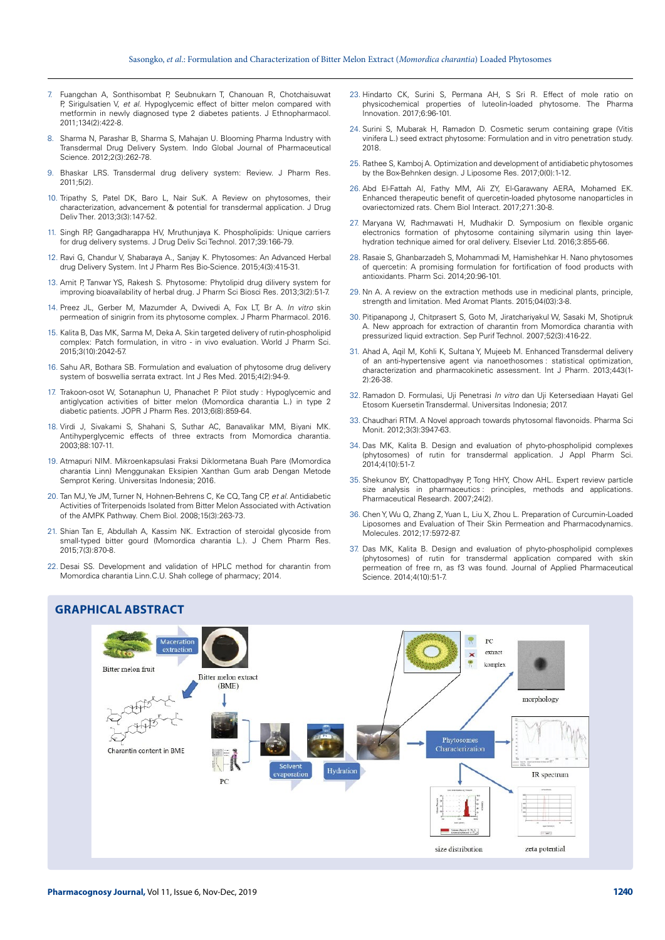- 7. Fuangchan A, Sonthisombat P, Seubnukarn T, Chanouan R, Chotchaisuwat P, Sirigulsatien V, *et al.* Hypoglycemic effect of bitter melon compared with metformin in newly diagnosed type 2 diabetes patients. J Ethnopharmacol. 2011;134(2):422-8.
- 8. Sharma N, Parashar B, Sharma S, Mahajan U. Blooming Pharma Industry with Transdermal Drug Delivery System. Indo Global Journal of Pharmaceutical Science. 2012;2(3):262-78.
- 9. Bhaskar LRS. Transdermal drug delivery system: Review. J Pharm Res. 2011;5(2).
- 10. Tripathy S, Patel DK, Baro L, Nair SuK. A Review on phytosomes, their characterization, advancement & potential for transdermal application. J Drug Deliv Ther. 2013;3(3):147-52.
- 11. Singh RP, Gangadharappa HV, Mruthunjaya K. Phospholipids: Unique carriers for drug delivery systems. J Drug Deliv Sci Technol. 2017;39:166-79.
- 12. Ravi G, Chandur V, Shabaraya A., Sanjay K. Phytosomes: An Advanced Herbal drug Delivery System. Int J Pharm Res Bio-Science. 2015;4(3):415-31.
- 13. Amit P, Tanwar YS, Rakesh S. Phytosome: Phytolipid drug dilivery system for improving bioavailability of herbal drug. J Pharm Sci Biosci Res. 2013;3(2):51-7.
- 14. Preez JL, Gerber M, Mazumder A, Dwivedi A, Fox LT, Br A. *In vitro* skin permeation of sinigrin from its phytosome complex. J Pharm Pharmacol. 2016.
- 15. Kalita B, Das MK, Sarma M, Deka A. Skin targeted delivery of rutin-phospholipid complex: Patch formulation, in vitro - in vivo evaluation. World J Pharm Sci. 2015;3(10):2042-57.
- 16. Sahu AR, Bothara SB. Formulation and evaluation of phytosome drug delivery system of boswellia serrata extract. Int J Res Med. 2015;4(2):94-9.
- 17. Trakoon-osot W, Sotanaphun U, Phanachet P. Pilot study : Hypoglycemic and antiglycation activities of bitter melon (Momordica charantia L.) in type 2 diabetic patients. JOPR J Pharm Res. 2013;6(8):859-64.
- 18. Virdi J, Sivakami S, Shahani S, Suthar AC, Banavalikar MM, Biyani MK. Antihyperglycemic effects of three extracts from Momordica charantia. 2003;88:107-11.
- 19. Atmapuri NIM. Mikroenkapsulasi Fraksi Diklormetana Buah Pare (Momordica charantia Linn) Menggunakan Eksipien Xanthan Gum arab Dengan Metode Semprot Kering. Universitas Indonesia; 2016.
- 20. Tan MJ, Ye JM, Turner N, Hohnen-Behrens C, Ke CQ, Tang CP, *et al.* Antidiabetic Activities of Triterpenoids Isolated from Bitter Melon Associated with Activation of the AMPK Pathway. Chem Biol. 2008;15(3):263-73.
- 21. Shian Tan E, Abdullah A, Kassim NK. Extraction of steroidal glycoside from small-typed bitter gourd (Momordica charantia L.). J Chem Pharm Res. 2015;7(3):870-8.
- 22. Desai SS. Development and validation of HPLC method for charantin from Momordica charantia Linn.C.U. Shah college of pharmacy; 2014.
- 23. Hindarto CK, Surini S, Permana AH, S Sri R. Effect of mole ratio on physicochemical properties of luteolin-loaded phytosome. The Pharma Innovation. 2017;6:96-101.
- 24. Surini S, Mubarak H, Ramadon D. Cosmetic serum containing grape (Vitis vinifera L.) seed extract phytosome: Formulation and in vitro penetration study. 2018.
- 25. Rathee S, Kamboj A. Optimization and development of antidiabetic phytosomes by the Box-Behnken design. J Liposome Res. 2017;0(0):1-12.
- 26. Abd El-Fattah AI, Fathy MM, Ali ZY, El-Garawany AERA, Mohamed EK. Enhanced therapeutic benefit of quercetin-loaded phytosome nanoparticles in ovariectomized rats. Chem Biol Interact. 2017;271:30-8.
- 27. Maryana W, Rachmawati H, Mudhakir D. Symposium on flexible organic electronics formation of phytosome containing silymarin using thin layerhydration technique aimed for oral delivery. Elsevier Ltd. 2016;3:855-66.
- 28. Rasaie S, Ghanbarzadeh S, Mohammadi M, Hamishehkar H. Nano phytosomes of quercetin: A promising formulation for fortification of food products with antioxidants. Pharm Sci. 2014;20:96-101.
- 29. Nn A. A review on the extraction methods use in medicinal plants, principle, strength and limitation. Med Aromat Plants. 2015;04(03):3-8.
- 30. Pitipanapong J, Chitprasert S, Goto M, Jiratchariyakul W, Sasaki M, Shotipruk A. New approach for extraction of charantin from Momordica charantia with pressurized liquid extraction. Sep Purif Technol. 2007;52(3):416-22.
- 31. Ahad A, Aqil M, Kohli K, Sultana Y, Mujeeb M. Enhanced Transdermal delivery of an anti-hypertensive agent via nanoethosomes : statistical optimization, characterization and pharmacokinetic assessment. Int J Pharm. 2013;443(1- 2):26-38.
- 32. Ramadon D. Formulasi, Uji Penetrasi *In vitro* dan Uji Ketersediaan Hayati Gel Etosom Kuersetin Transdermal. Universitas Indonesia; 2017.
- 33. Chaudhari RTM. A Novel approach towards phytosomal flavonoids. Pharma Sci Monit. 2012;3(3):3947-63.
- 34. Das MK, Kalita B. Design and evaluation of phyto-phospholipid complexes (phytosomes) of rutin for transdermal application. J Appl Pharm Sci. 2014;4(10):51-7.
- 35. Shekunov BY, Chattopadhyay P, Tong HHY, Chow AHL. Expert review particle size analysis in pharmaceutics principles, methods and applications. Pharmaceutical Research. 2007;24(2).
- 36. Chen Y, Wu Q, Zhang Z, Yuan L, Liu X, Zhou L. Preparation of Curcumin-Loaded Liposomes and Evaluation of Their Skin Permeation and Pharmacodynamics. Molecules. 2012;17:5972-87.
- 37. Das MK, Kalita B. Design and evaluation of phyto-phospholipid complexes (phytosomes) of rutin for transdermal application compared with skin permeation of free rn, as f3 was found. Journal of Applied Pharmaceutical Science. 2014;4(10):51-7.



**GRAPHICAL ABSTRACT**